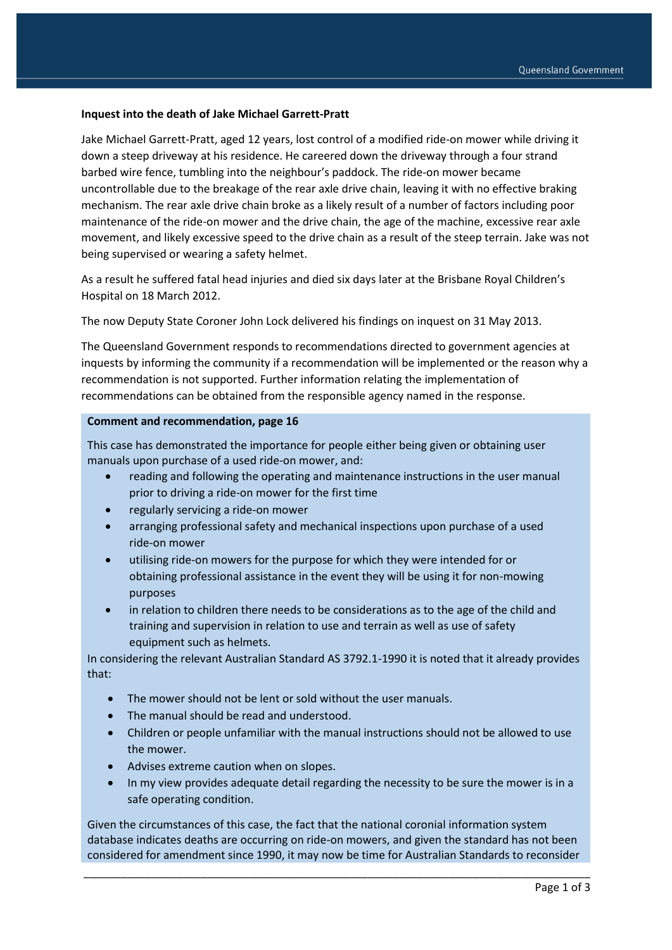## **Inquest into the death of Jake Michael Garrett-Pratt**

Jake Michael Garrett-Pratt, aged 12 years, lost control of a modified ride-on mower while driving it down a steep driveway at his residence. He careered down the driveway through a four strand barbed wire fence, tumbling into the neighbour's paddock. The ride-on mower became uncontrollable due to the breakage of the rear axle drive chain, leaving it with no effective braking mechanism. The rear axle drive chain broke as a likely result of a number of factors including poor maintenance of the ride-on mower and the drive chain, the age of the machine, excessive rear axle movement, and likely excessive speed to the drive chain as a result of the steep terrain. Jake was not being supervised or wearing a safety helmet.

As a result he suffered fatal head injuries and died six days later at the Brisbane Royal Children's Hospital on 18 March 2012.

The now Deputy State Coroner John Lock delivered his findings on inquest on 31 May 2013.

The Queensland Government responds to recommendations directed to government agencies at inquests by informing the community if a recommendation will be implemented or the reason why a recommendation is not supported. Further information relating the implementation of recommendations can be obtained from the responsible agency named in the response.

## **Comment and recommendation, page 16**

This case has demonstrated the importance for people either being given or obtaining user manuals upon purchase of a used ride-on mower, and:

- reading and following the operating and maintenance instructions in the user manual prior to driving a ride-on mower for the first time
- regularly servicing a ride-on mower
- arranging professional safety and mechanical inspections upon purchase of a used ride-on mower
- utilising ride-on mowers for the purpose for which they were intended for or obtaining professional assistance in the event they will be using it for non-mowing purposes
- in relation to children there needs to be considerations as to the age of the child and training and supervision in relation to use and terrain as well as use of safety equipment such as helmets.

In considering the relevant Australian Standard AS 3792.1-1990 it is noted that it already provides that:

- The mower should not be lent or sold without the user manuals.
- The manual should be read and understood.
- Children or people unfamiliar with the manual instructions should not be allowed to use the mower.
- Advises extreme caution when on slopes.
- In my view provides adequate detail regarding the necessity to be sure the mower is in a safe operating condition.

Given the circumstances of this case, the fact that the national coronial information system database indicates deaths are occurring on ride-on mowers, and given the standard has not been considered for amendment since 1990, it may now be time for Australian Standards to reconsider

\_\_\_\_\_\_\_\_\_\_\_\_\_\_\_\_\_\_\_\_\_\_\_\_\_\_\_\_\_\_\_\_\_\_\_\_\_\_\_\_\_\_\_\_\_\_\_\_\_\_\_\_\_\_\_\_\_\_\_\_\_\_\_\_\_\_\_\_\_\_\_\_\_\_\_\_\_\_\_\_\_\_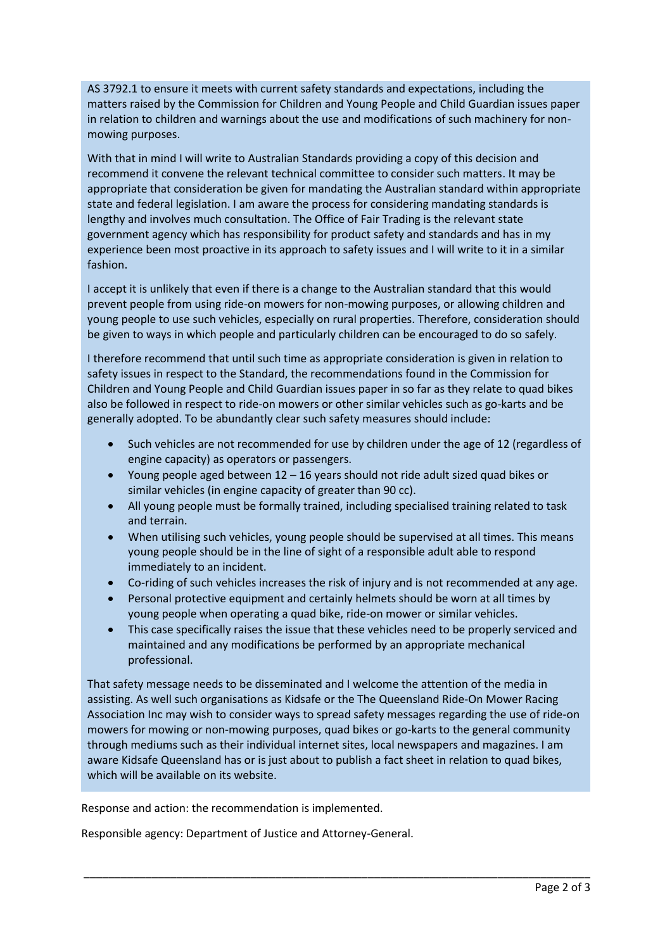AS 3792.1 to ensure it meets with current safety standards and expectations, including the matters raised by the Commission for Children and Young People and Child Guardian issues paper in relation to children and warnings about the use and modifications of such machinery for nonmowing purposes.

With that in mind I will write to Australian Standards providing a copy of this decision and recommend it convene the relevant technical committee to consider such matters. It may be appropriate that consideration be given for mandating the Australian standard within appropriate state and federal legislation. I am aware the process for considering mandating standards is lengthy and involves much consultation. The Office of Fair Trading is the relevant state government agency which has responsibility for product safety and standards and has in my experience been most proactive in its approach to safety issues and I will write to it in a similar fashion.

I accept it is unlikely that even if there is a change to the Australian standard that this would prevent people from using ride-on mowers for non-mowing purposes, or allowing children and young people to use such vehicles, especially on rural properties. Therefore, consideration should be given to ways in which people and particularly children can be encouraged to do so safely.

I therefore recommend that until such time as appropriate consideration is given in relation to safety issues in respect to the Standard, the recommendations found in the Commission for Children and Young People and Child Guardian issues paper in so far as they relate to quad bikes also be followed in respect to ride-on mowers or other similar vehicles such as go-karts and be generally adopted. To be abundantly clear such safety measures should include:

- Such vehicles are not recommended for use by children under the age of 12 (regardless of engine capacity) as operators or passengers.
- Young people aged between 12 16 years should not ride adult sized quad bikes or similar vehicles (in engine capacity of greater than 90 cc).
- All young people must be formally trained, including specialised training related to task and terrain.
- When utilising such vehicles, young people should be supervised at all times. This means young people should be in the line of sight of a responsible adult able to respond immediately to an incident.
- Co-riding of such vehicles increases the risk of injury and is not recommended at any age.
- Personal protective equipment and certainly helmets should be worn at all times by young people when operating a quad bike, ride-on mower or similar vehicles.
- This case specifically raises the issue that these vehicles need to be properly serviced and maintained and any modifications be performed by an appropriate mechanical professional.

That safety message needs to be disseminated and I welcome the attention of the media in assisting. As well such organisations as Kidsafe or the The Queensland Ride-On Mower Racing Association Inc may wish to consider ways to spread safety messages regarding the use of ride-on mowers for mowing or non-mowing purposes, quad bikes or go-karts to the general community through mediums such as their individual internet sites, local newspapers and magazines. I am aware Kidsafe Queensland has or is just about to publish a fact sheet in relation to quad bikes, which will be available on its website.

\_\_\_\_\_\_\_\_\_\_\_\_\_\_\_\_\_\_\_\_\_\_\_\_\_\_\_\_\_\_\_\_\_\_\_\_\_\_\_\_\_\_\_\_\_\_\_\_\_\_\_\_\_\_\_\_\_\_\_\_\_\_\_\_\_\_\_\_\_\_\_\_\_\_\_\_\_\_\_\_\_\_

Response and action: the recommendation is implemented.

Responsible agency: Department of Justice and Attorney-General.